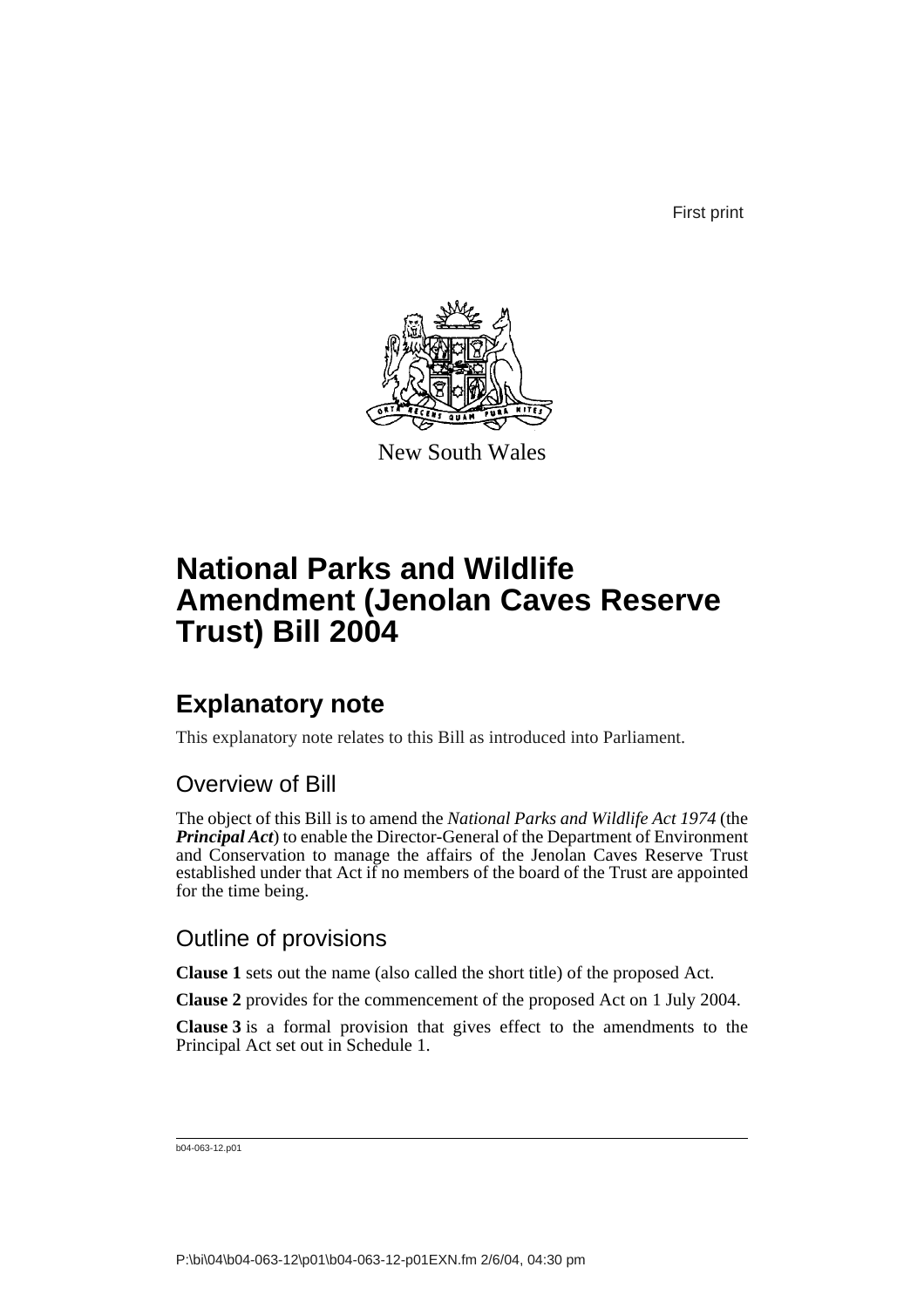First print



New South Wales

# **National Parks and Wildlife Amendment (Jenolan Caves Reserve Trust) Bill 2004**

### **Explanatory note**

This explanatory note relates to this Bill as introduced into Parliament.

### Overview of Bill

The object of this Bill is to amend the *National Parks and Wildlife Act 1974* (the *Principal Act*) to enable the Director-General of the Department of Environment and Conservation to manage the affairs of the Jenolan Caves Reserve Trust established under that Act if no members of the board of the Trust are appointed for the time being.

#### Outline of provisions

**Clause 1** sets out the name (also called the short title) of the proposed Act.

**Clause 2** provides for the commencement of the proposed Act on 1 July 2004.

**Clause 3** is a formal provision that gives effect to the amendments to the Principal Act set out in Schedule 1.

b04-063-12.p01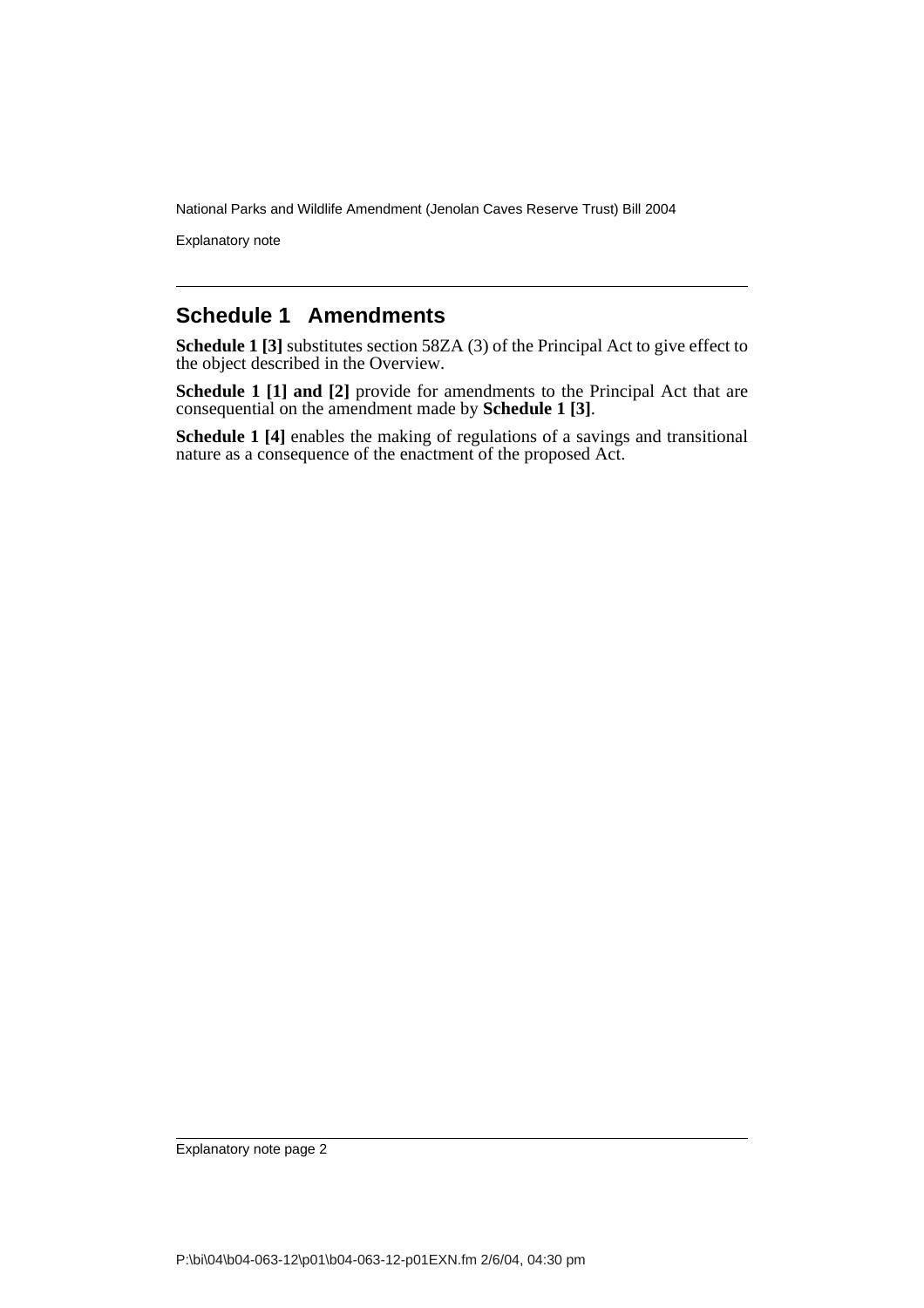National Parks and Wildlife Amendment (Jenolan Caves Reserve Trust) Bill 2004

Explanatory note

#### **Schedule 1 Amendments**

**Schedule 1 [3]** substitutes section 58ZA (3) of the Principal Act to give effect to the object described in the Overview.

**Schedule 1 [1] and [2]** provide for amendments to the Principal Act that are consequential on the amendment made by **Schedule 1 [3]**.

**Schedule 1 [4]** enables the making of regulations of a savings and transitional nature as a consequence of the enactment of the proposed Act.

Explanatory note page 2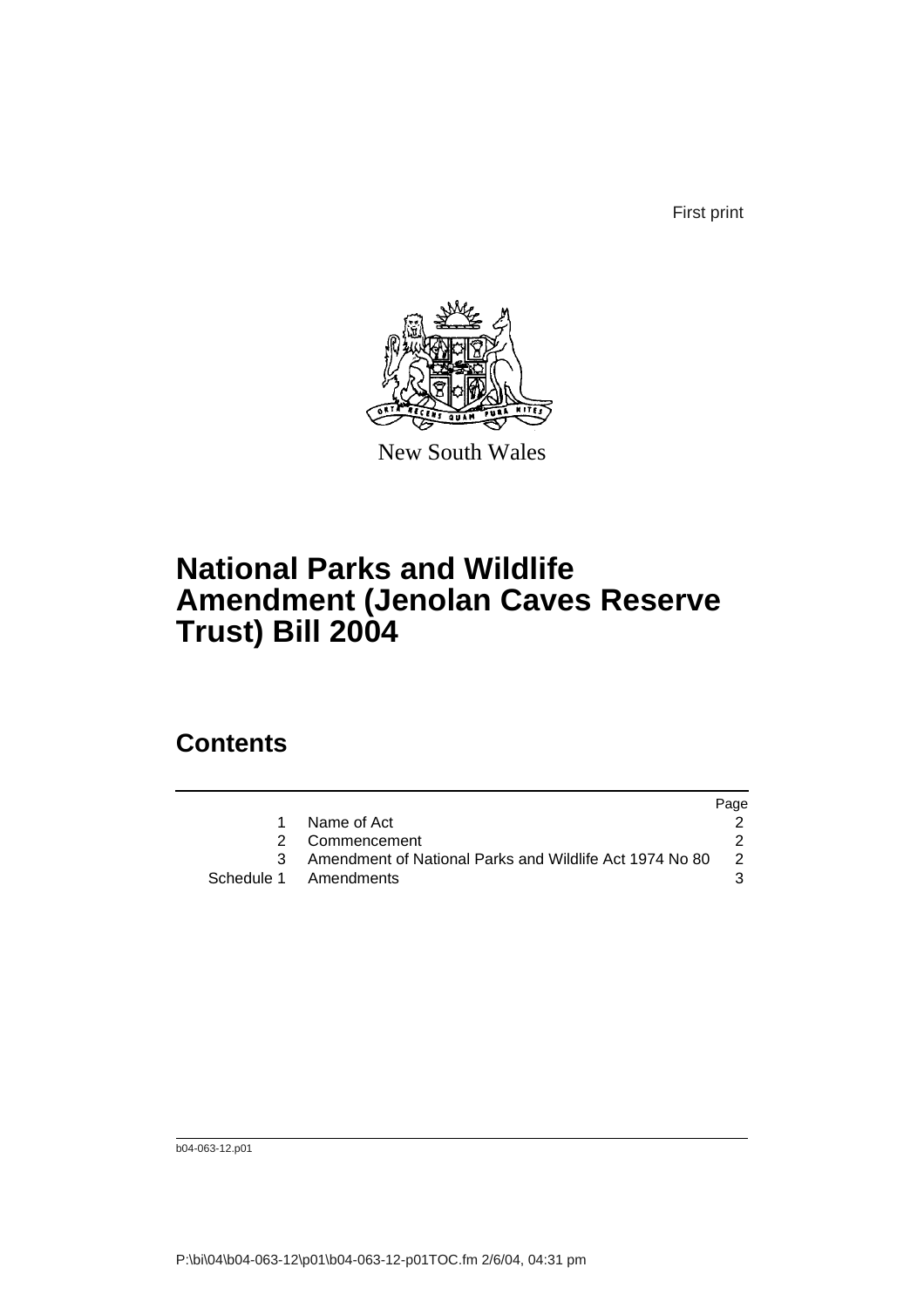First print



New South Wales

## **National Parks and Wildlife Amendment (Jenolan Caves Reserve Trust) Bill 2004**

### **Contents**

|                                                         | Page |
|---------------------------------------------------------|------|
| Name of Act                                             |      |
| 2 Commencement                                          |      |
| Amendment of National Parks and Wildlife Act 1974 No 80 | -2   |
| Schedule 1 Amendments                                   |      |

b04-063-12.p01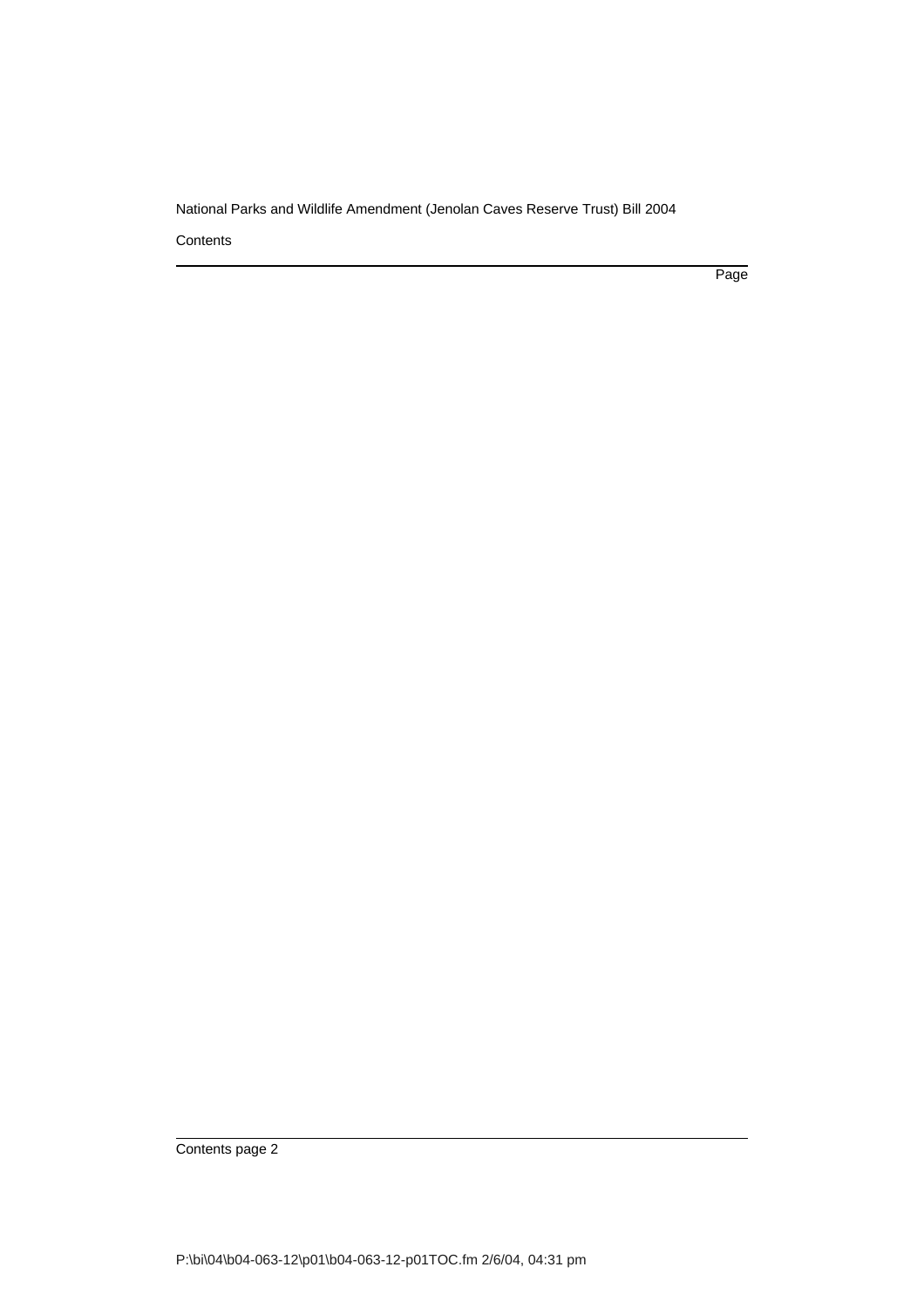National Parks and Wildlife Amendment (Jenolan Caves Reserve Trust) Bill 2004

**Contents** 

Page

Contents page 2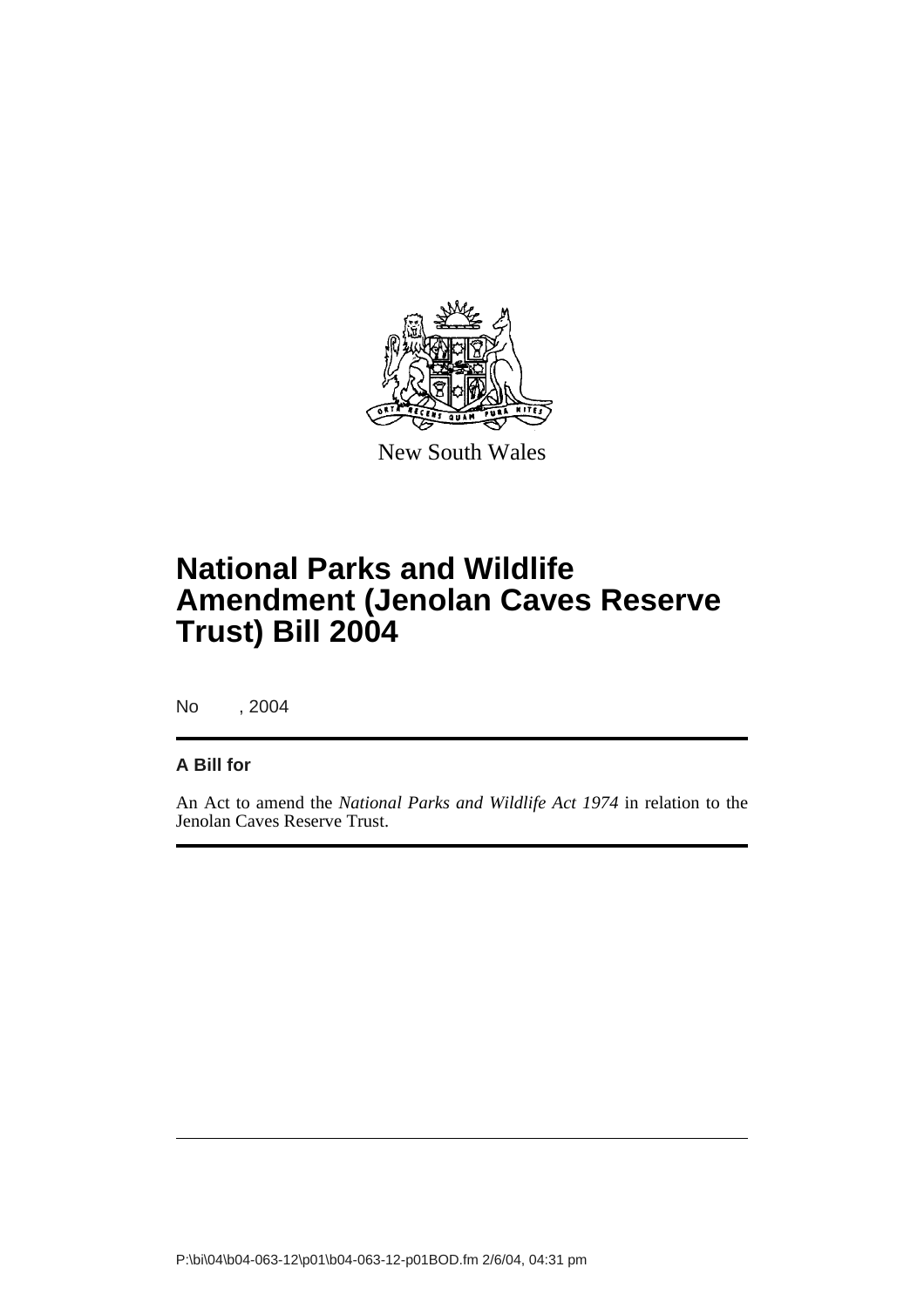

New South Wales

## **National Parks and Wildlife Amendment (Jenolan Caves Reserve Trust) Bill 2004**

No , 2004

#### **A Bill for**

An Act to amend the *National Parks and Wildlife Act 1974* in relation to the Jenolan Caves Reserve Trust.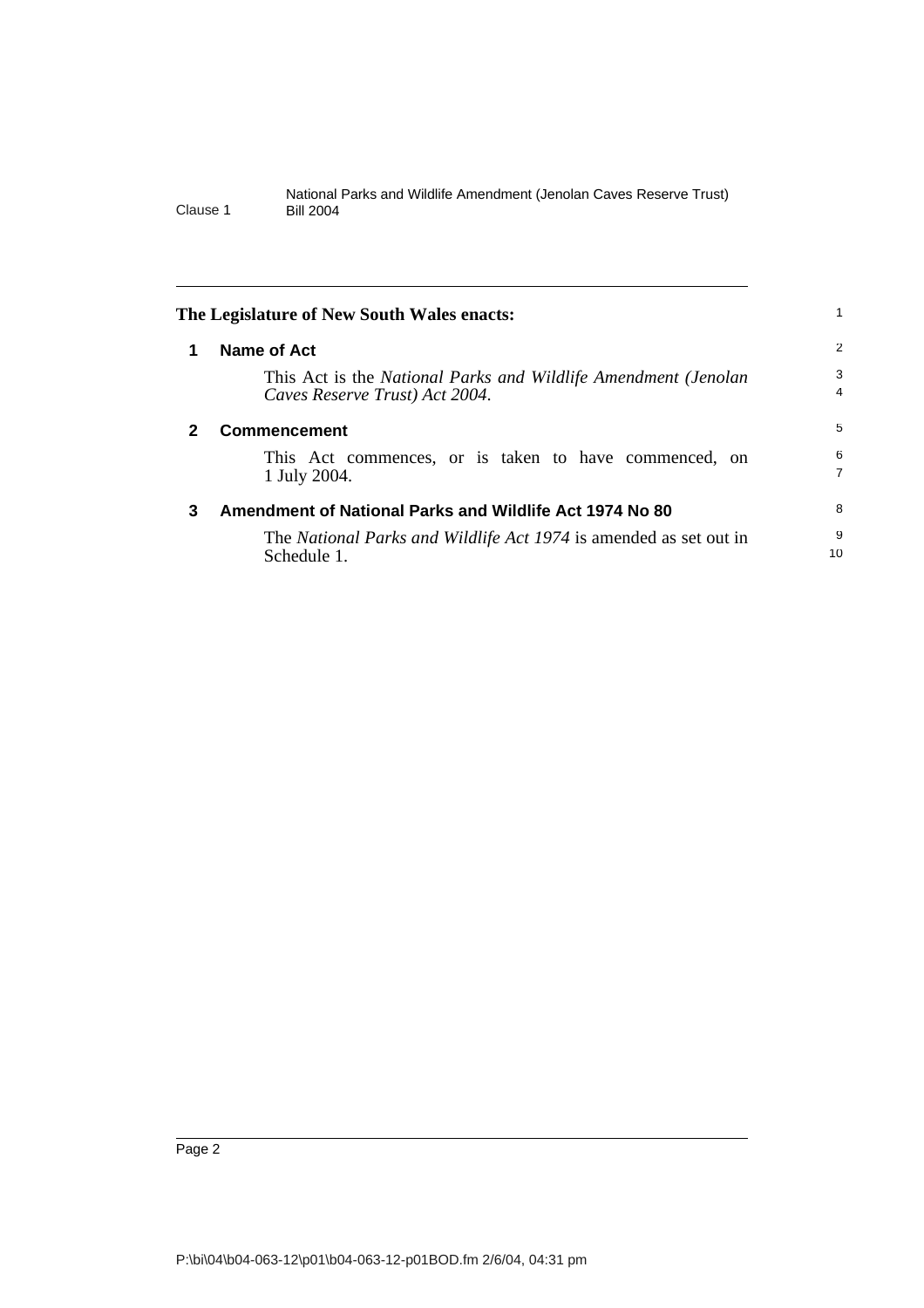<span id="page-5-2"></span><span id="page-5-1"></span><span id="page-5-0"></span>

|   | The Legislature of New South Wales enacts:                                                       |                     |
|---|--------------------------------------------------------------------------------------------------|---------------------|
| 1 | Name of Act                                                                                      | 2                   |
|   | This Act is the National Parks and Wildlife Amendment (Jenolan<br>Caves Reserve Trust) Act 2004. | 3<br>$\overline{4}$ |
| 2 | <b>Commencement</b>                                                                              | 5                   |
|   | This Act commences, or is taken to have commenced, on<br>1 July 2004.                            | 6<br>$\overline{7}$ |
| 3 | Amendment of National Parks and Wildlife Act 1974 No 80                                          | 8                   |
|   | The National Parks and Wildlife Act 1974 is amended as set out in<br>Schedule 1.                 | 9<br>10             |